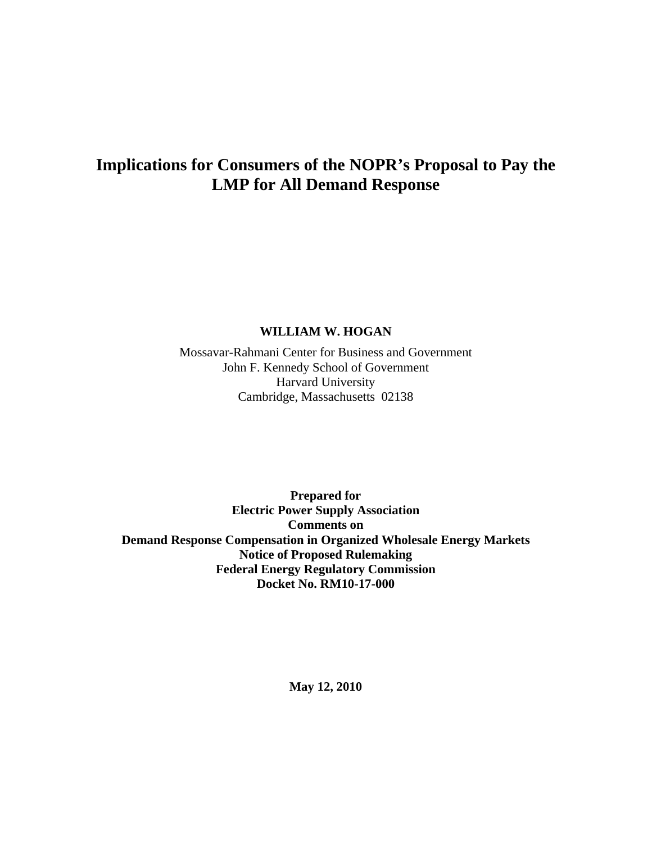## **Implications for Consumers of the NOPR's Proposal to Pay the LMP for All Demand Response**

#### **WILLIAM W. HOGAN**

Mossavar-Rahmani Center for Business and Government John F. Kennedy School of Government Harvard University Cambridge, Massachusetts 02138

**Prepared for Electric Power Supply Association Comments on Demand Response Compensation in Organized Wholesale Energy Markets Notice of Proposed Rulemaking Federal Energy Regulatory Commission Docket No. RM10-17-000** 

**May 12, 2010**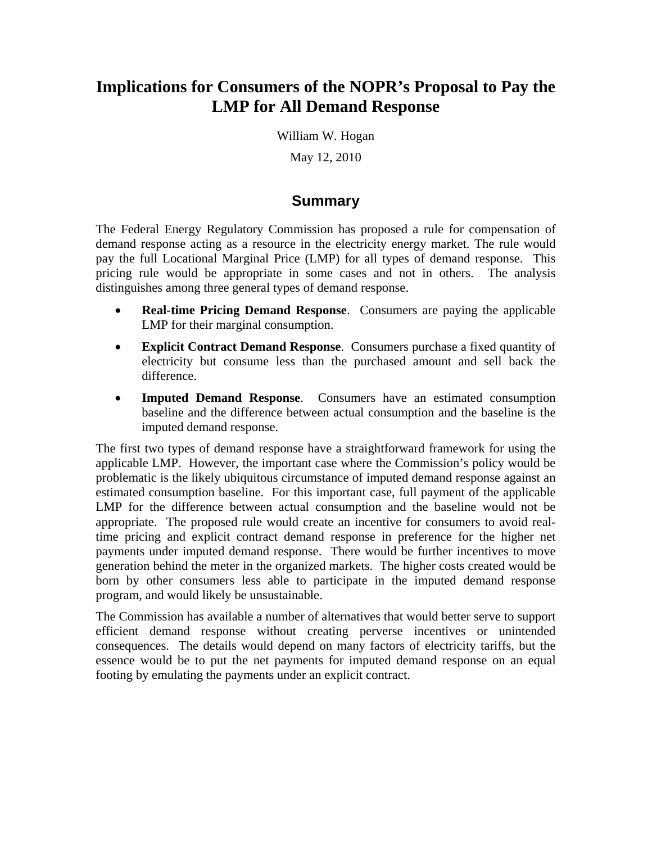## **Implications for Consumers of the NOPR's Proposal to Pay the LMP for All Demand Response**

William W. Hogan May 12, 2010

#### **Summary**

The Federal Energy Regulatory Commission has proposed a rule for compensation of demand response acting as a resource in the electricity energy market. The rule would pay the full Locational Marginal Price (LMP) for all types of demand response. This pricing rule would be appropriate in some cases and not in others. The analysis distinguishes among three general types of demand response.

- **Real-time Pricing Demand Response**. Consumers are paying the applicable LMP for their marginal consumption.
- **Explicit Contract Demand Response**. Consumers purchase a fixed quantity of electricity but consume less than the purchased amount and sell back the difference.
- **Imputed Demand Response**. Consumers have an estimated consumption baseline and the difference between actual consumption and the baseline is the imputed demand response.

The first two types of demand response have a straightforward framework for using the applicable LMP. However, the important case where the Commission's policy would be problematic is the likely ubiquitous circumstance of imputed demand response against an estimated consumption baseline. For this important case, full payment of the applicable LMP for the difference between actual consumption and the baseline would not be appropriate. The proposed rule would create an incentive for consumers to avoid realtime pricing and explicit contract demand response in preference for the higher net payments under imputed demand response. There would be further incentives to move generation behind the meter in the organized markets. The higher costs created would be born by other consumers less able to participate in the imputed demand response program, and would likely be unsustainable.

The Commission has available a number of alternatives that would better serve to support efficient demand response without creating perverse incentives or unintended consequences. The details would depend on many factors of electricity tariffs, but the essence would be to put the net payments for imputed demand response on an equal footing by emulating the payments under an explicit contract.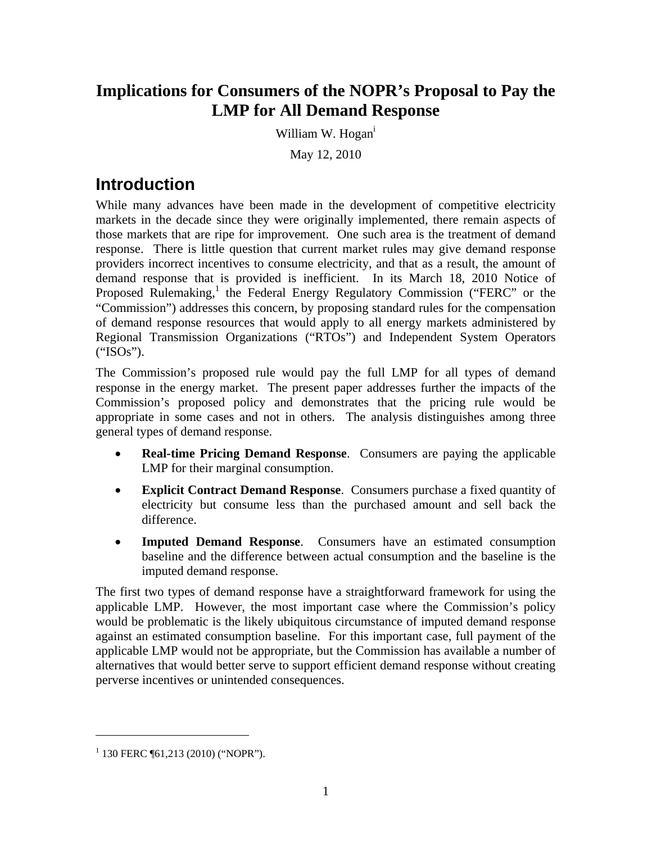## **Implications for Consumers of the NOPR's Proposal to Pay the LMP for All Demand Response**

William W. Hogan<sup>1</sup>

May 12, 2010

## **Introduction**

While many advances have been made in the development of competitive electricity markets in the decade since they were originally implemented, there remain aspects of those markets that are ripe for improvement. One such area is the treatment of demand response. There is little question that current market rules may give demand response providers incorrect incentives to consume electricity, and that as a result, the amount of demand response that is provided is inefficient. In its March 18, 2010 Notice of Proposed Rulemaking,<sup>1</sup> the Federal Energy Regulatory Commission ("FERC" or the "Commission") addresses this concern, by proposing standard rules for the compensation of demand response resources that would apply to all energy markets administered by Regional Transmission Organizations ("RTOs") and Independent System Operators ("ISOs").

The Commission's proposed rule would pay the full LMP for all types of demand response in the energy market. The present paper addresses further the impacts of the Commission's proposed policy and demonstrates that the pricing rule would be appropriate in some cases and not in others. The analysis distinguishes among three general types of demand response.

- **Real-time Pricing Demand Response**. Consumers are paying the applicable LMP for their marginal consumption.
- **Explicit Contract Demand Response**. Consumers purchase a fixed quantity of electricity but consume less than the purchased amount and sell back the difference.
- **Imputed Demand Response**. Consumers have an estimated consumption baseline and the difference between actual consumption and the baseline is the imputed demand response.

The first two types of demand response have a straightforward framework for using the applicable LMP. However, the most important case where the Commission's policy would be problematic is the likely ubiquitous circumstance of imputed demand response against an estimated consumption baseline. For this important case, full payment of the applicable LMP would not be appropriate, but the Commission has available a number of alternatives that would better serve to support efficient demand response without creating perverse incentives or unintended consequences.

 $1$  130 FERC ¶61,213 (2010) ("NOPR").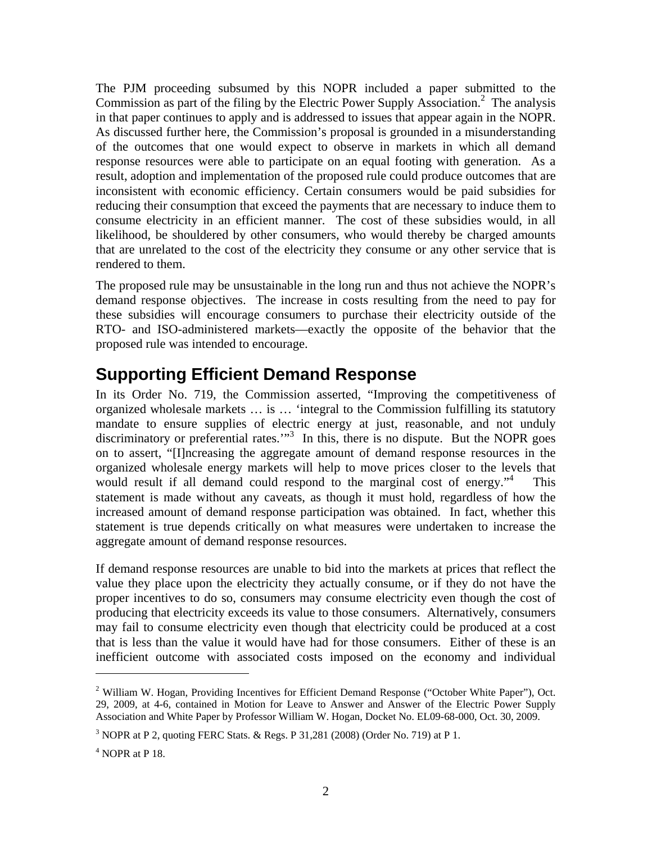The PJM proceeding subsumed by this NOPR included a paper submitted to the Commission as part of the filing by the Electric Power Supply Association.<sup>2</sup> The analysis in that paper continues to apply and is addressed to issues that appear again in the NOPR. As discussed further here, the Commission's proposal is grounded in a misunderstanding of the outcomes that one would expect to observe in markets in which all demand response resources were able to participate on an equal footing with generation. As a result, adoption and implementation of the proposed rule could produce outcomes that are inconsistent with economic efficiency. Certain consumers would be paid subsidies for reducing their consumption that exceed the payments that are necessary to induce them to consume electricity in an efficient manner. The cost of these subsidies would, in all likelihood, be shouldered by other consumers, who would thereby be charged amounts that are unrelated to the cost of the electricity they consume or any other service that is rendered to them.

The proposed rule may be unsustainable in the long run and thus not achieve the NOPR's demand response objectives. The increase in costs resulting from the need to pay for these subsidies will encourage consumers to purchase their electricity outside of the RTO- and ISO-administered markets—exactly the opposite of the behavior that the proposed rule was intended to encourage.

## **Supporting Efficient Demand Response**

In its Order No. 719, the Commission asserted, "Improving the competitiveness of organized wholesale markets … is … 'integral to the Commission fulfilling its statutory mandate to ensure supplies of electric energy at just, reasonable, and not unduly discriminatory or preferential rates."<sup>3</sup> In this, there is no dispute. But the NOPR goes on to assert, "[I]ncreasing the aggregate amount of demand response resources in the organized wholesale energy markets will help to move prices closer to the levels that would result if all demand could respond to the marginal cost of energy."<sup>4</sup> This statement is made without any caveats, as though it must hold, regardless of how the increased amount of demand response participation was obtained. In fact, whether this statement is true depends critically on what measures were undertaken to increase the aggregate amount of demand response resources.

If demand response resources are unable to bid into the markets at prices that reflect the value they place upon the electricity they actually consume, or if they do not have the proper incentives to do so, consumers may consume electricity even though the cost of producing that electricity exceeds its value to those consumers. Alternatively, consumers may fail to consume electricity even though that electricity could be produced at a cost that is less than the value it would have had for those consumers. Either of these is an inefficient outcome with associated costs imposed on the economy and individual

1

 $2$  William W. Hogan, Providing Incentives for Efficient Demand Response ("October White Paper"), Oct. 29, 2009, at 4-6, contained in Motion for Leave to Answer and Answer of the Electric Power Supply Association and White Paper by Professor William W. Hogan, Docket No. EL09-68-000, Oct. 30, 2009.

 $3$  NOPR at P 2, quoting FERC Stats. & Regs. P 31,281 (2008) (Order No. 719) at P 1.

 $<sup>4</sup>$  NOPR at P 18.</sup>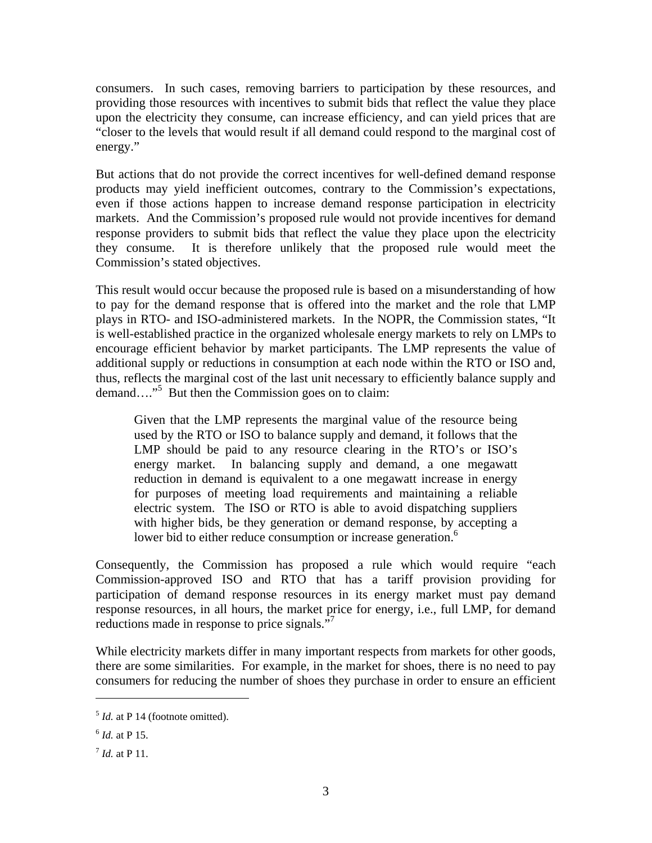consumers. In such cases, removing barriers to participation by these resources, and providing those resources with incentives to submit bids that reflect the value they place upon the electricity they consume, can increase efficiency, and can yield prices that are "closer to the levels that would result if all demand could respond to the marginal cost of energy."

But actions that do not provide the correct incentives for well-defined demand response products may yield inefficient outcomes, contrary to the Commission's expectations, even if those actions happen to increase demand response participation in electricity markets. And the Commission's proposed rule would not provide incentives for demand response providers to submit bids that reflect the value they place upon the electricity they consume. It is therefore unlikely that the proposed rule would meet the Commission's stated objectives.

This result would occur because the proposed rule is based on a misunderstanding of how to pay for the demand response that is offered into the market and the role that LMP plays in RTO- and ISO-administered markets. In the NOPR, the Commission states, "It is well-established practice in the organized wholesale energy markets to rely on LMPs to encourage efficient behavior by market participants. The LMP represents the value of additional supply or reductions in consumption at each node within the RTO or ISO and, thus, reflects the marginal cost of the last unit necessary to efficiently balance supply and demand…."<sup>5</sup> But then the Commission goes on to claim:

Given that the LMP represents the marginal value of the resource being used by the RTO or ISO to balance supply and demand, it follows that the LMP should be paid to any resource clearing in the RTO's or ISO's energy market. In balancing supply and demand, a one megawatt reduction in demand is equivalent to a one megawatt increase in energy for purposes of meeting load requirements and maintaining a reliable electric system. The ISO or RTO is able to avoid dispatching suppliers with higher bids, be they generation or demand response, by accepting a lower bid to either reduce consumption or increase generation.<sup>6</sup>

Consequently, the Commission has proposed a rule which would require "each Commission-approved ISO and RTO that has a tariff provision providing for participation of demand response resources in its energy market must pay demand response resources, in all hours, the market price for energy, i.e., full LMP, for demand reductions made in response to price signals."<sup>7</sup>

While electricity markets differ in many important respects from markets for other goods, there are some similarities. For example, in the market for shoes, there is no need to pay consumers for reducing the number of shoes they purchase in order to ensure an efficient

 $<sup>5</sup>$  *Id.* at P 14 (footnote omitted).</sup>

 $^{6}$  *Id.* at P 15.

<sup>7</sup> *Id.* at P 11.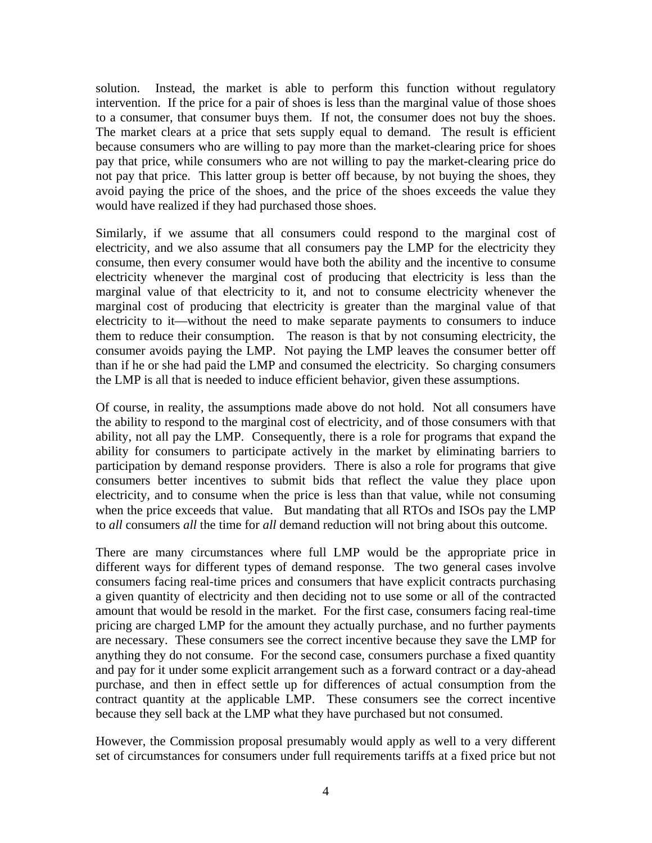solution. Instead, the market is able to perform this function without regulatory intervention. If the price for a pair of shoes is less than the marginal value of those shoes to a consumer, that consumer buys them. If not, the consumer does not buy the shoes. The market clears at a price that sets supply equal to demand. The result is efficient because consumers who are willing to pay more than the market-clearing price for shoes pay that price, while consumers who are not willing to pay the market-clearing price do not pay that price. This latter group is better off because, by not buying the shoes, they avoid paying the price of the shoes, and the price of the shoes exceeds the value they would have realized if they had purchased those shoes.

Similarly, if we assume that all consumers could respond to the marginal cost of electricity, and we also assume that all consumers pay the LMP for the electricity they consume, then every consumer would have both the ability and the incentive to consume electricity whenever the marginal cost of producing that electricity is less than the marginal value of that electricity to it, and not to consume electricity whenever the marginal cost of producing that electricity is greater than the marginal value of that electricity to it—without the need to make separate payments to consumers to induce them to reduce their consumption. The reason is that by not consuming electricity, the consumer avoids paying the LMP. Not paying the LMP leaves the consumer better off than if he or she had paid the LMP and consumed the electricity. So charging consumers the LMP is all that is needed to induce efficient behavior, given these assumptions.

Of course, in reality, the assumptions made above do not hold. Not all consumers have the ability to respond to the marginal cost of electricity, and of those consumers with that ability, not all pay the LMP. Consequently, there is a role for programs that expand the ability for consumers to participate actively in the market by eliminating barriers to participation by demand response providers. There is also a role for programs that give consumers better incentives to submit bids that reflect the value they place upon electricity, and to consume when the price is less than that value, while not consuming when the price exceeds that value. But mandating that all RTOs and ISOs pay the LMP to *all* consumers *all* the time for *all* demand reduction will not bring about this outcome.

There are many circumstances where full LMP would be the appropriate price in different ways for different types of demand response. The two general cases involve consumers facing real-time prices and consumers that have explicit contracts purchasing a given quantity of electricity and then deciding not to use some or all of the contracted amount that would be resold in the market. For the first case, consumers facing real-time pricing are charged LMP for the amount they actually purchase, and no further payments are necessary. These consumers see the correct incentive because they save the LMP for anything they do not consume. For the second case, consumers purchase a fixed quantity and pay for it under some explicit arrangement such as a forward contract or a day-ahead purchase, and then in effect settle up for differences of actual consumption from the contract quantity at the applicable LMP. These consumers see the correct incentive because they sell back at the LMP what they have purchased but not consumed.

However, the Commission proposal presumably would apply as well to a very different set of circumstances for consumers under full requirements tariffs at a fixed price but not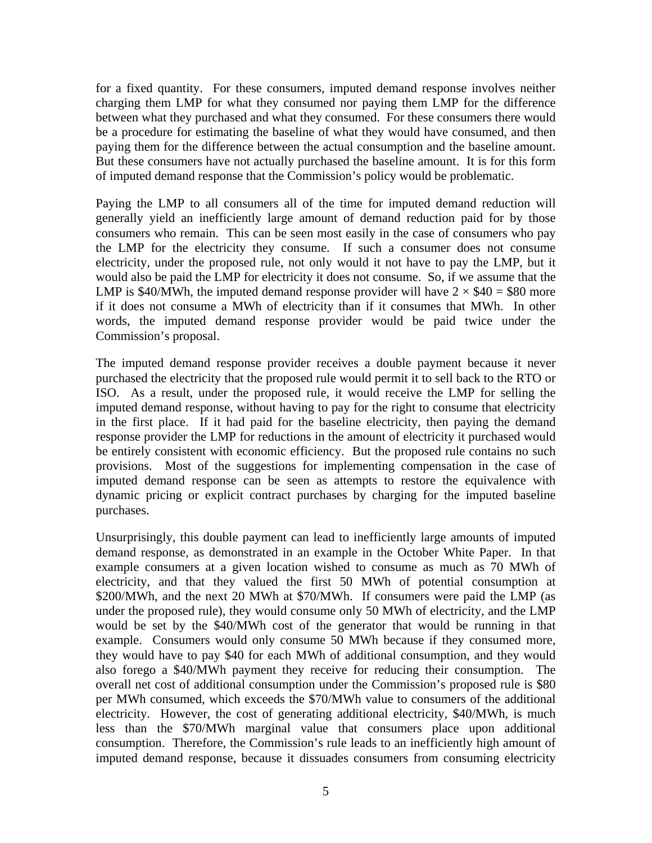for a fixed quantity. For these consumers, imputed demand response involves neither charging them LMP for what they consumed nor paying them LMP for the difference between what they purchased and what they consumed. For these consumers there would be a procedure for estimating the baseline of what they would have consumed, and then paying them for the difference between the actual consumption and the baseline amount. But these consumers have not actually purchased the baseline amount. It is for this form of imputed demand response that the Commission's policy would be problematic.

Paying the LMP to all consumers all of the time for imputed demand reduction will generally yield an inefficiently large amount of demand reduction paid for by those consumers who remain. This can be seen most easily in the case of consumers who pay the LMP for the electricity they consume. If such a consumer does not consume electricity, under the proposed rule, not only would it not have to pay the LMP, but it would also be paid the LMP for electricity it does not consume. So, if we assume that the LMP is \$40/MWh, the imputed demand response provider will have  $2 \times $40 = $80$  more if it does not consume a MWh of electricity than if it consumes that MWh. In other words, the imputed demand response provider would be paid twice under the Commission's proposal.

The imputed demand response provider receives a double payment because it never purchased the electricity that the proposed rule would permit it to sell back to the RTO or ISO. As a result, under the proposed rule, it would receive the LMP for selling the imputed demand response, without having to pay for the right to consume that electricity in the first place. If it had paid for the baseline electricity, then paying the demand response provider the LMP for reductions in the amount of electricity it purchased would be entirely consistent with economic efficiency. But the proposed rule contains no such provisions. Most of the suggestions for implementing compensation in the case of imputed demand response can be seen as attempts to restore the equivalence with dynamic pricing or explicit contract purchases by charging for the imputed baseline purchases.

Unsurprisingly, this double payment can lead to inefficiently large amounts of imputed demand response, as demonstrated in an example in the October White Paper. In that example consumers at a given location wished to consume as much as 70 MWh of electricity, and that they valued the first 50 MWh of potential consumption at \$200/MWh, and the next 20 MWh at \$70/MWh. If consumers were paid the LMP (as under the proposed rule), they would consume only 50 MWh of electricity, and the LMP would be set by the \$40/MWh cost of the generator that would be running in that example. Consumers would only consume 50 MWh because if they consumed more, they would have to pay \$40 for each MWh of additional consumption, and they would also forego a \$40/MWh payment they receive for reducing their consumption. The overall net cost of additional consumption under the Commission's proposed rule is \$80 per MWh consumed, which exceeds the \$70/MWh value to consumers of the additional electricity. However, the cost of generating additional electricity, \$40/MWh, is much less than the \$70/MWh marginal value that consumers place upon additional consumption. Therefore, the Commission's rule leads to an inefficiently high amount of imputed demand response, because it dissuades consumers from consuming electricity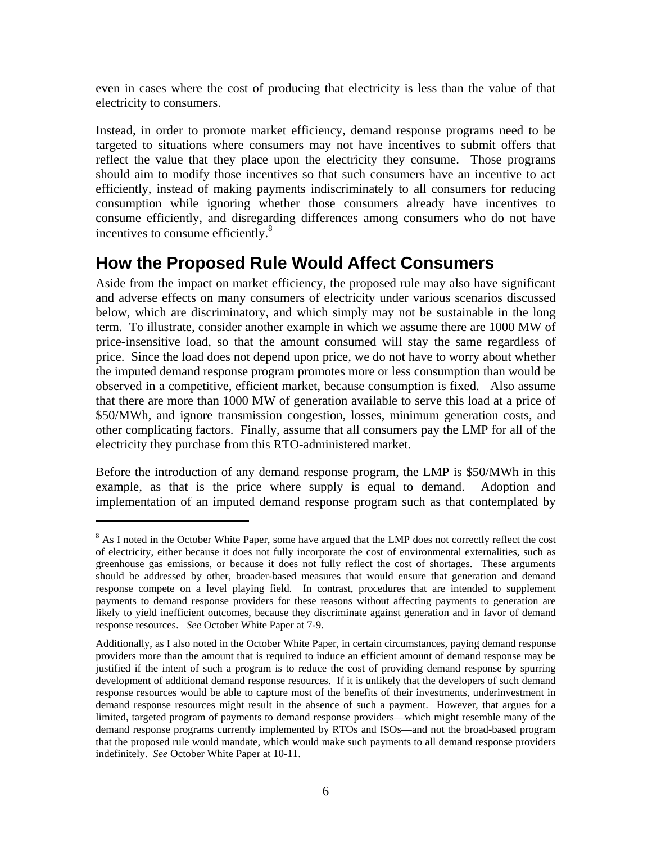even in cases where the cost of producing that electricity is less than the value of that electricity to consumers.

Instead, in order to promote market efficiency, demand response programs need to be targeted to situations where consumers may not have incentives to submit offers that reflect the value that they place upon the electricity they consume. Those programs should aim to modify those incentives so that such consumers have an incentive to act efficiently, instead of making payments indiscriminately to all consumers for reducing consumption while ignoring whether those consumers already have incentives to consume efficiently, and disregarding differences among consumers who do not have incentives to consume efficiently.8

## **How the Proposed Rule Would Affect Consumers**

Aside from the impact on market efficiency, the proposed rule may also have significant and adverse effects on many consumers of electricity under various scenarios discussed below, which are discriminatory, and which simply may not be sustainable in the long term. To illustrate, consider another example in which we assume there are 1000 MW of price-insensitive load, so that the amount consumed will stay the same regardless of price. Since the load does not depend upon price, we do not have to worry about whether the imputed demand response program promotes more or less consumption than would be observed in a competitive, efficient market, because consumption is fixed. Also assume that there are more than 1000 MW of generation available to serve this load at a price of \$50/MWh, and ignore transmission congestion, losses, minimum generation costs, and other complicating factors. Finally, assume that all consumers pay the LMP for all of the electricity they purchase from this RTO-administered market.

Before the introduction of any demand response program, the LMP is \$50/MWh in this example, as that is the price where supply is equal to demand. Adoption and implementation of an imputed demand response program such as that contemplated by

<sup>&</sup>lt;sup>8</sup> As I noted in the October White Paper, some have argued that the LMP does not correctly reflect the cost of electricity, either because it does not fully incorporate the cost of environmental externalities, such as greenhouse gas emissions, or because it does not fully reflect the cost of shortages. These arguments should be addressed by other, broader-based measures that would ensure that generation and demand response compete on a level playing field. In contrast, procedures that are intended to supplement payments to demand response providers for these reasons without affecting payments to generation are likely to yield inefficient outcomes, because they discriminate against generation and in favor of demand response resources. *See* October White Paper at 7-9.

Additionally, as I also noted in the October White Paper, in certain circumstances, paying demand response providers more than the amount that is required to induce an efficient amount of demand response may be justified if the intent of such a program is to reduce the cost of providing demand response by spurring development of additional demand response resources. If it is unlikely that the developers of such demand response resources would be able to capture most of the benefits of their investments, underinvestment in demand response resources might result in the absence of such a payment. However, that argues for a limited, targeted program of payments to demand response providers—which might resemble many of the demand response programs currently implemented by RTOs and ISOs—and not the broad-based program that the proposed rule would mandate, which would make such payments to all demand response providers indefinitely. *See* October White Paper at 10-11.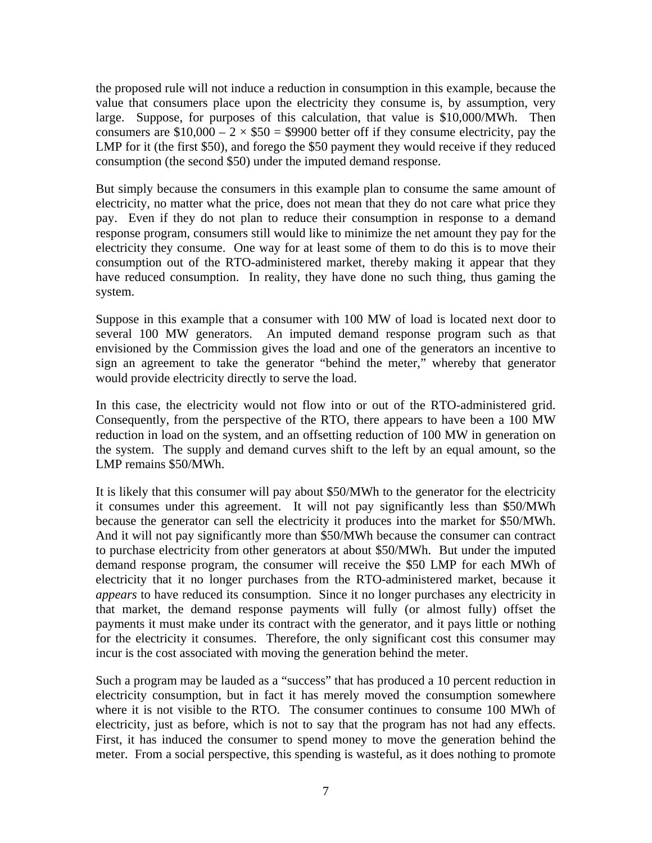the proposed rule will not induce a reduction in consumption in this example, because the value that consumers place upon the electricity they consume is, by assumption, very large. Suppose, for purposes of this calculation, that value is \$10,000/MWh. Then consumers are  $$10,000 - 2 \times $50 = $9900$  better off if they consume electricity, pay the LMP for it (the first \$50), and forego the \$50 payment they would receive if they reduced consumption (the second \$50) under the imputed demand response.

But simply because the consumers in this example plan to consume the same amount of electricity, no matter what the price, does not mean that they do not care what price they pay. Even if they do not plan to reduce their consumption in response to a demand response program, consumers still would like to minimize the net amount they pay for the electricity they consume. One way for at least some of them to do this is to move their consumption out of the RTO-administered market, thereby making it appear that they have reduced consumption. In reality, they have done no such thing, thus gaming the system.

Suppose in this example that a consumer with 100 MW of load is located next door to several 100 MW generators. An imputed demand response program such as that envisioned by the Commission gives the load and one of the generators an incentive to sign an agreement to take the generator "behind the meter," whereby that generator would provide electricity directly to serve the load.

In this case, the electricity would not flow into or out of the RTO-administered grid. Consequently, from the perspective of the RTO, there appears to have been a 100 MW reduction in load on the system, and an offsetting reduction of 100 MW in generation on the system. The supply and demand curves shift to the left by an equal amount, so the LMP remains \$50/MWh.

It is likely that this consumer will pay about \$50/MWh to the generator for the electricity it consumes under this agreement. It will not pay significantly less than \$50/MWh because the generator can sell the electricity it produces into the market for \$50/MWh. And it will not pay significantly more than \$50/MWh because the consumer can contract to purchase electricity from other generators at about \$50/MWh. But under the imputed demand response program, the consumer will receive the \$50 LMP for each MWh of electricity that it no longer purchases from the RTO-administered market, because it *appears* to have reduced its consumption. Since it no longer purchases any electricity in that market, the demand response payments will fully (or almost fully) offset the payments it must make under its contract with the generator, and it pays little or nothing for the electricity it consumes. Therefore, the only significant cost this consumer may incur is the cost associated with moving the generation behind the meter.

Such a program may be lauded as a "success" that has produced a 10 percent reduction in electricity consumption, but in fact it has merely moved the consumption somewhere where it is not visible to the RTO. The consumer continues to consume 100 MWh of electricity, just as before, which is not to say that the program has not had any effects. First, it has induced the consumer to spend money to move the generation behind the meter. From a social perspective, this spending is wasteful, as it does nothing to promote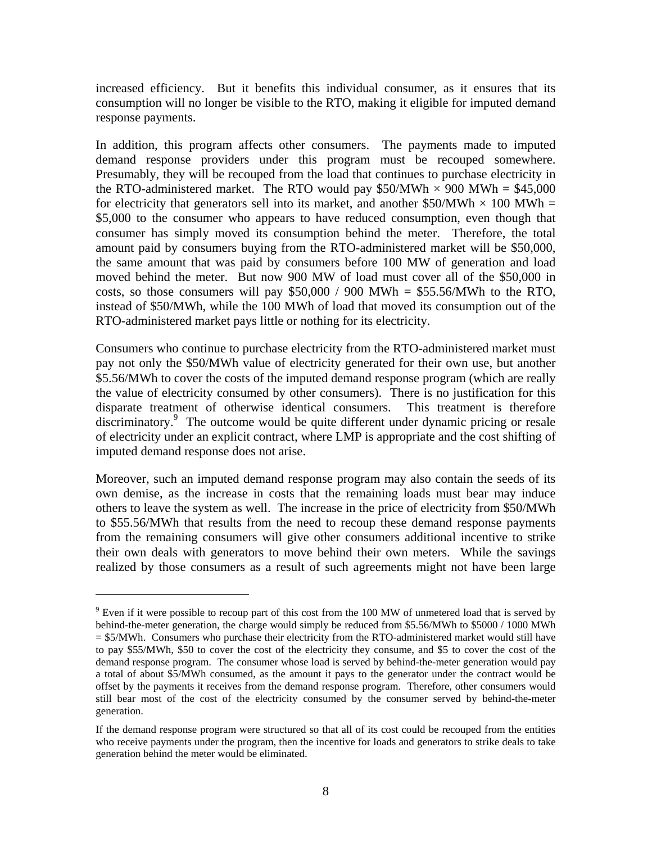increased efficiency. But it benefits this individual consumer, as it ensures that its consumption will no longer be visible to the RTO, making it eligible for imputed demand response payments.

In addition, this program affects other consumers. The payments made to imputed demand response providers under this program must be recouped somewhere. Presumably, they will be recouped from the load that continues to purchase electricity in the RTO-administered market. The RTO would pay \$50/MWh  $\times$  900 MWh = \$45,000 for electricity that generators sell into its market, and another \$50/MWh  $\times$  100 MWh = \$5,000 to the consumer who appears to have reduced consumption, even though that consumer has simply moved its consumption behind the meter. Therefore, the total amount paid by consumers buying from the RTO-administered market will be \$50,000, the same amount that was paid by consumers before 100 MW of generation and load moved behind the meter. But now 900 MW of load must cover all of the \$50,000 in costs, so those consumers will pay  $$50,000 / 900$  MWh = \$55.56/MWh to the RTO, instead of \$50/MWh, while the 100 MWh of load that moved its consumption out of the RTO-administered market pays little or nothing for its electricity.

Consumers who continue to purchase electricity from the RTO-administered market must pay not only the \$50/MWh value of electricity generated for their own use, but another \$5.56/MWh to cover the costs of the imputed demand response program (which are really the value of electricity consumed by other consumers). There is no justification for this disparate treatment of otherwise identical consumers. This treatment is therefore discriminatory.9 The outcome would be quite different under dynamic pricing or resale of electricity under an explicit contract, where LMP is appropriate and the cost shifting of imputed demand response does not arise.

Moreover, such an imputed demand response program may also contain the seeds of its own demise, as the increase in costs that the remaining loads must bear may induce others to leave the system as well. The increase in the price of electricity from \$50/MWh to \$55.56/MWh that results from the need to recoup these demand response payments from the remaining consumers will give other consumers additional incentive to strike their own deals with generators to move behind their own meters. While the savings realized by those consumers as a result of such agreements might not have been large

 $9$  Even if it were possible to recoup part of this cost from the 100 MW of unmetered load that is served by behind-the-meter generation, the charge would simply be reduced from \$5.56/MWh to \$5000 / 1000 MWh = \$5/MWh. Consumers who purchase their electricity from the RTO-administered market would still have to pay \$55/MWh, \$50 to cover the cost of the electricity they consume, and \$5 to cover the cost of the demand response program. The consumer whose load is served by behind-the-meter generation would pay a total of about \$5/MWh consumed, as the amount it pays to the generator under the contract would be offset by the payments it receives from the demand response program. Therefore, other consumers would still bear most of the cost of the electricity consumed by the consumer served by behind-the-meter generation.

If the demand response program were structured so that all of its cost could be recouped from the entities who receive payments under the program, then the incentive for loads and generators to strike deals to take generation behind the meter would be eliminated.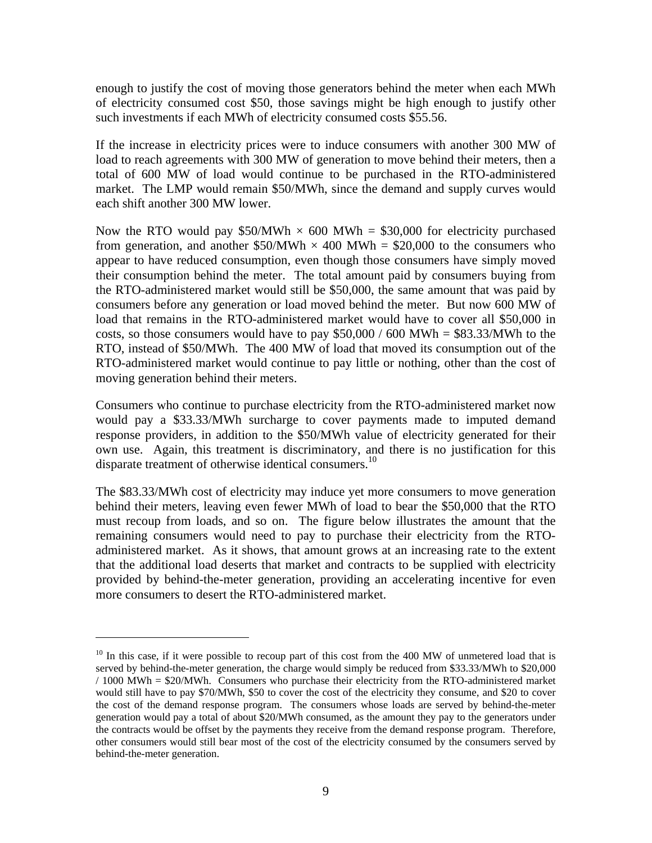enough to justify the cost of moving those generators behind the meter when each MWh of electricity consumed cost \$50, those savings might be high enough to justify other such investments if each MWh of electricity consumed costs \$55.56.

If the increase in electricity prices were to induce consumers with another 300 MW of load to reach agreements with 300 MW of generation to move behind their meters, then a total of 600 MW of load would continue to be purchased in the RTO-administered market. The LMP would remain \$50/MWh, since the demand and supply curves would each shift another 300 MW lower.

Now the RTO would pay \$50/MWh  $\times$  600 MWh = \$30,000 for electricity purchased from generation, and another  $$50/MWh \times 400 MWh = $20,000$  to the consumers who appear to have reduced consumption, even though those consumers have simply moved their consumption behind the meter. The total amount paid by consumers buying from the RTO-administered market would still be \$50,000, the same amount that was paid by consumers before any generation or load moved behind the meter. But now 600 MW of load that remains in the RTO-administered market would have to cover all \$50,000 in costs, so those consumers would have to pay  $$50,000 / 600$  MWh =  $$83.33/MWh$  to the RTO, instead of \$50/MWh. The 400 MW of load that moved its consumption out of the RTO-administered market would continue to pay little or nothing, other than the cost of moving generation behind their meters.

Consumers who continue to purchase electricity from the RTO-administered market now would pay a \$33.33/MWh surcharge to cover payments made to imputed demand response providers, in addition to the \$50/MWh value of electricity generated for their own use. Again, this treatment is discriminatory, and there is no justification for this disparate treatment of otherwise identical consumers.<sup>10</sup>

The \$83.33/MWh cost of electricity may induce yet more consumers to move generation behind their meters, leaving even fewer MWh of load to bear the \$50,000 that the RTO must recoup from loads, and so on. The figure below illustrates the amount that the remaining consumers would need to pay to purchase their electricity from the RTOadministered market. As it shows, that amount grows at an increasing rate to the extent that the additional load deserts that market and contracts to be supplied with electricity provided by behind-the-meter generation, providing an accelerating incentive for even more consumers to desert the RTO-administered market.

1

 $10$  In this case, if it were possible to recoup part of this cost from the 400 MW of unmetered load that is served by behind-the-meter generation, the charge would simply be reduced from \$33.33/MWh to \$20,000 / 1000 MWh = \$20/MWh. Consumers who purchase their electricity from the RTO-administered market would still have to pay \$70/MWh, \$50 to cover the cost of the electricity they consume, and \$20 to cover the cost of the demand response program. The consumers whose loads are served by behind-the-meter generation would pay a total of about \$20/MWh consumed, as the amount they pay to the generators under the contracts would be offset by the payments they receive from the demand response program. Therefore, other consumers would still bear most of the cost of the electricity consumed by the consumers served by behind-the-meter generation.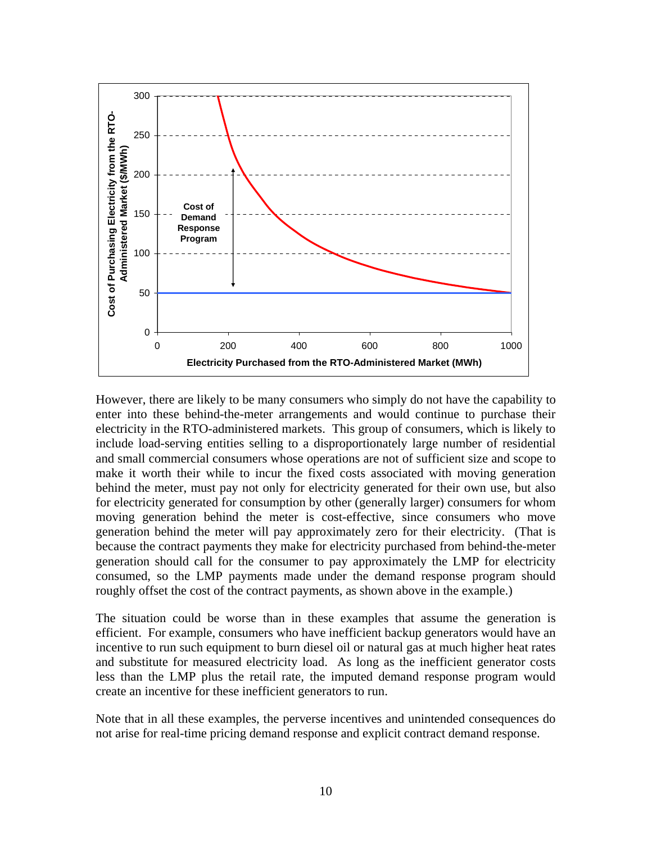

However, there are likely to be many consumers who simply do not have the capability to enter into these behind-the-meter arrangements and would continue to purchase their electricity in the RTO-administered markets. This group of consumers, which is likely to include load-serving entities selling to a disproportionately large number of residential and small commercial consumers whose operations are not of sufficient size and scope to make it worth their while to incur the fixed costs associated with moving generation behind the meter, must pay not only for electricity generated for their own use, but also for electricity generated for consumption by other (generally larger) consumers for whom moving generation behind the meter is cost-effective, since consumers who move generation behind the meter will pay approximately zero for their electricity. (That is because the contract payments they make for electricity purchased from behind-the-meter generation should call for the consumer to pay approximately the LMP for electricity consumed, so the LMP payments made under the demand response program should roughly offset the cost of the contract payments, as shown above in the example.)

The situation could be worse than in these examples that assume the generation is efficient. For example, consumers who have inefficient backup generators would have an incentive to run such equipment to burn diesel oil or natural gas at much higher heat rates and substitute for measured electricity load. As long as the inefficient generator costs less than the LMP plus the retail rate, the imputed demand response program would create an incentive for these inefficient generators to run.

Note that in all these examples, the perverse incentives and unintended consequences do not arise for real-time pricing demand response and explicit contract demand response.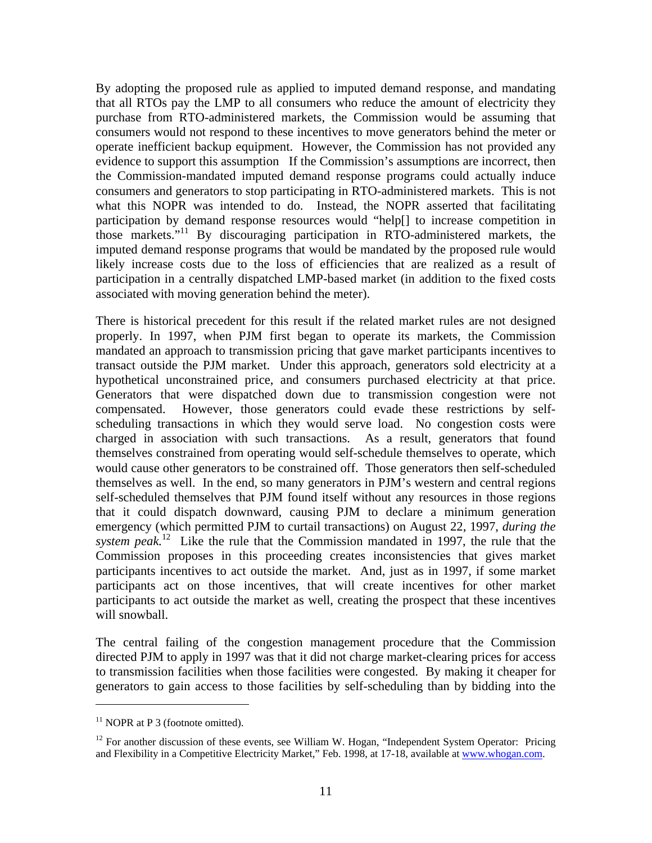By adopting the proposed rule as applied to imputed demand response, and mandating that all RTOs pay the LMP to all consumers who reduce the amount of electricity they purchase from RTO-administered markets, the Commission would be assuming that consumers would not respond to these incentives to move generators behind the meter or operate inefficient backup equipment. However, the Commission has not provided any evidence to support this assumption If the Commission's assumptions are incorrect, then the Commission-mandated imputed demand response programs could actually induce consumers and generators to stop participating in RTO-administered markets. This is not what this NOPR was intended to do. Instead, the NOPR asserted that facilitating participation by demand response resources would "help[] to increase competition in those markets."11 By discouraging participation in RTO-administered markets, the imputed demand response programs that would be mandated by the proposed rule would likely increase costs due to the loss of efficiencies that are realized as a result of participation in a centrally dispatched LMP-based market (in addition to the fixed costs associated with moving generation behind the meter).

There is historical precedent for this result if the related market rules are not designed properly. In 1997, when PJM first began to operate its markets, the Commission mandated an approach to transmission pricing that gave market participants incentives to transact outside the PJM market. Under this approach, generators sold electricity at a hypothetical unconstrained price, and consumers purchased electricity at that price. Generators that were dispatched down due to transmission congestion were not compensated. However, those generators could evade these restrictions by selfscheduling transactions in which they would serve load. No congestion costs were charged in association with such transactions. As a result, generators that found themselves constrained from operating would self-schedule themselves to operate, which would cause other generators to be constrained off. Those generators then self-scheduled themselves as well. In the end, so many generators in PJM's western and central regions self-scheduled themselves that PJM found itself without any resources in those regions that it could dispatch downward, causing PJM to declare a minimum generation emergency (which permitted PJM to curtail transactions) on August 22, 1997, *during the system peak.*12 Like the rule that the Commission mandated in 1997, the rule that the Commission proposes in this proceeding creates inconsistencies that gives market participants incentives to act outside the market. And, just as in 1997, if some market participants act on those incentives, that will create incentives for other market participants to act outside the market as well, creating the prospect that these incentives will snowball.

The central failing of the congestion management procedure that the Commission directed PJM to apply in 1997 was that it did not charge market-clearing prices for access to transmission facilities when those facilities were congested. By making it cheaper for generators to gain access to those facilities by self-scheduling than by bidding into the

 $11$  NOPR at P 3 (footnote omitted).

<sup>&</sup>lt;sup>12</sup> For another discussion of these events, see William W. Hogan, "Independent System Operator: Pricing and Flexibility in a Competitive Electricity Market," Feb. 1998, at 17-18, available at www.whogan.com.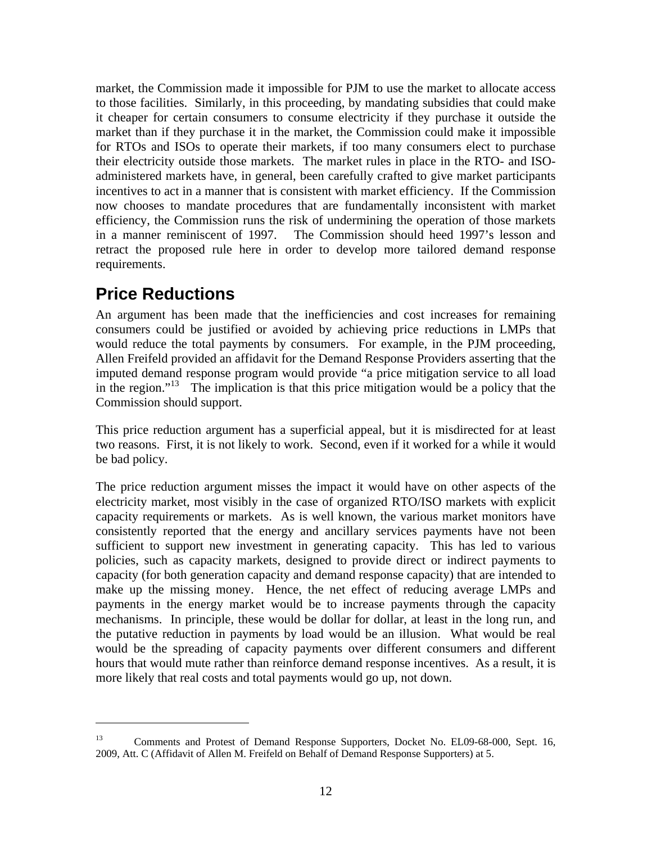market, the Commission made it impossible for PJM to use the market to allocate access to those facilities. Similarly, in this proceeding, by mandating subsidies that could make it cheaper for certain consumers to consume electricity if they purchase it outside the market than if they purchase it in the market, the Commission could make it impossible for RTOs and ISOs to operate their markets, if too many consumers elect to purchase their electricity outside those markets. The market rules in place in the RTO- and ISOadministered markets have, in general, been carefully crafted to give market participants incentives to act in a manner that is consistent with market efficiency. If the Commission now chooses to mandate procedures that are fundamentally inconsistent with market efficiency, the Commission runs the risk of undermining the operation of those markets in a manner reminiscent of 1997. The Commission should heed 1997's lesson and retract the proposed rule here in order to develop more tailored demand response requirements.

## **Price Reductions**

 $\overline{a}$ 

An argument has been made that the inefficiencies and cost increases for remaining consumers could be justified or avoided by achieving price reductions in LMPs that would reduce the total payments by consumers. For example, in the PJM proceeding, Allen Freifeld provided an affidavit for the Demand Response Providers asserting that the imputed demand response program would provide "a price mitigation service to all load in the region."13 The implication is that this price mitigation would be a policy that the Commission should support.

This price reduction argument has a superficial appeal, but it is misdirected for at least two reasons. First, it is not likely to work. Second, even if it worked for a while it would be bad policy.

The price reduction argument misses the impact it would have on other aspects of the electricity market, most visibly in the case of organized RTO/ISO markets with explicit capacity requirements or markets. As is well known, the various market monitors have consistently reported that the energy and ancillary services payments have not been sufficient to support new investment in generating capacity. This has led to various policies, such as capacity markets, designed to provide direct or indirect payments to capacity (for both generation capacity and demand response capacity) that are intended to make up the missing money. Hence, the net effect of reducing average LMPs and payments in the energy market would be to increase payments through the capacity mechanisms. In principle, these would be dollar for dollar, at least in the long run, and the putative reduction in payments by load would be an illusion. What would be real would be the spreading of capacity payments over different consumers and different hours that would mute rather than reinforce demand response incentives. As a result, it is more likely that real costs and total payments would go up, not down.

<sup>&</sup>lt;sup>13</sup> Comments and Protest of Demand Response Supporters, Docket No. EL09-68-000, Sept. 16, 2009, Att. C (Affidavit of Allen M. Freifeld on Behalf of Demand Response Supporters) at 5.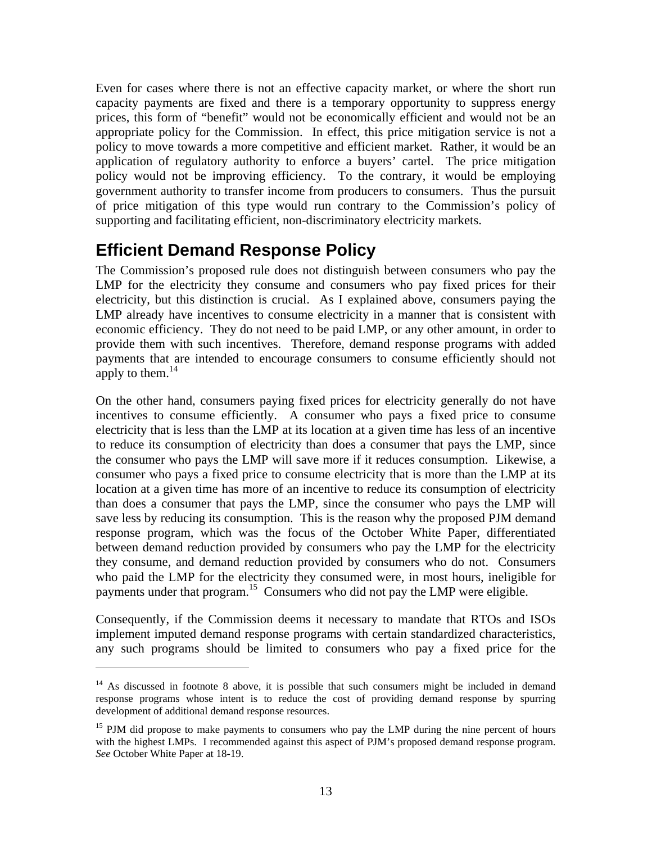Even for cases where there is not an effective capacity market, or where the short run capacity payments are fixed and there is a temporary opportunity to suppress energy prices, this form of "benefit" would not be economically efficient and would not be an appropriate policy for the Commission. In effect, this price mitigation service is not a policy to move towards a more competitive and efficient market. Rather, it would be an application of regulatory authority to enforce a buyers' cartel. The price mitigation policy would not be improving efficiency. To the contrary, it would be employing government authority to transfer income from producers to consumers. Thus the pursuit of price mitigation of this type would run contrary to the Commission's policy of supporting and facilitating efficient, non-discriminatory electricity markets.

## **Efficient Demand Response Policy**

1

The Commission's proposed rule does not distinguish between consumers who pay the LMP for the electricity they consume and consumers who pay fixed prices for their electricity, but this distinction is crucial. As I explained above, consumers paying the LMP already have incentives to consume electricity in a manner that is consistent with economic efficiency. They do not need to be paid LMP, or any other amount, in order to provide them with such incentives. Therefore, demand response programs with added payments that are intended to encourage consumers to consume efficiently should not apply to them.<sup>14</sup>

On the other hand, consumers paying fixed prices for electricity generally do not have incentives to consume efficiently. A consumer who pays a fixed price to consume electricity that is less than the LMP at its location at a given time has less of an incentive to reduce its consumption of electricity than does a consumer that pays the LMP, since the consumer who pays the LMP will save more if it reduces consumption. Likewise, a consumer who pays a fixed price to consume electricity that is more than the LMP at its location at a given time has more of an incentive to reduce its consumption of electricity than does a consumer that pays the LMP, since the consumer who pays the LMP will save less by reducing its consumption. This is the reason why the proposed PJM demand response program, which was the focus of the October White Paper, differentiated between demand reduction provided by consumers who pay the LMP for the electricity they consume, and demand reduction provided by consumers who do not. Consumers who paid the LMP for the electricity they consumed were, in most hours, ineligible for payments under that program.<sup>15</sup> Consumers who did not pay the LMP were eligible.

Consequently, if the Commission deems it necessary to mandate that RTOs and ISOs implement imputed demand response programs with certain standardized characteristics, any such programs should be limited to consumers who pay a fixed price for the

 $14$  As discussed in footnote 8 above, it is possible that such consumers might be included in demand response programs whose intent is to reduce the cost of providing demand response by spurring development of additional demand response resources.

 $15$  PJM did propose to make payments to consumers who pay the LMP during the nine percent of hours with the highest LMPs. I recommended against this aspect of PJM's proposed demand response program. *See* October White Paper at 18-19.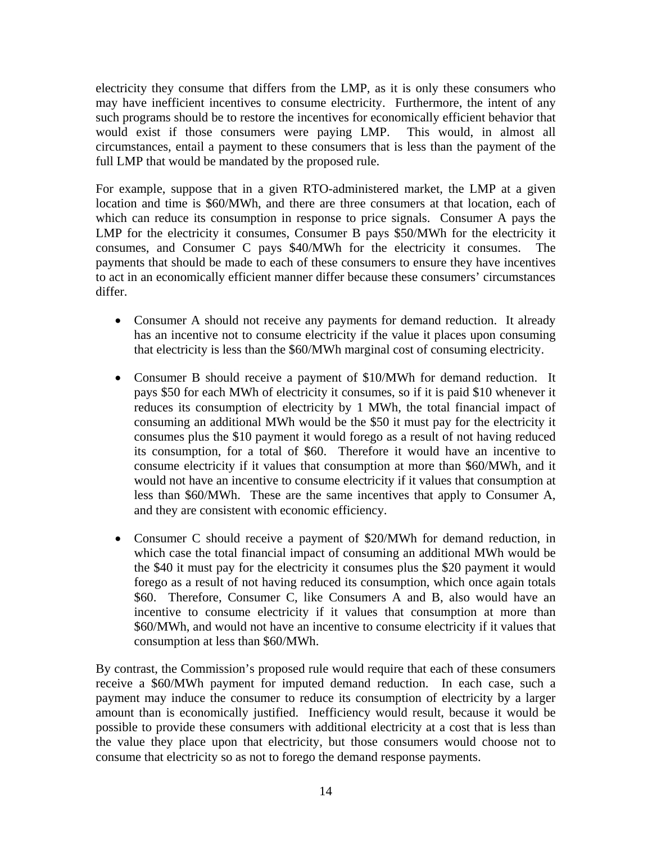electricity they consume that differs from the LMP, as it is only these consumers who may have inefficient incentives to consume electricity. Furthermore, the intent of any such programs should be to restore the incentives for economically efficient behavior that would exist if those consumers were paying LMP. This would, in almost all circumstances, entail a payment to these consumers that is less than the payment of the full LMP that would be mandated by the proposed rule.

For example, suppose that in a given RTO-administered market, the LMP at a given location and time is \$60/MWh, and there are three consumers at that location, each of which can reduce its consumption in response to price signals. Consumer A pays the LMP for the electricity it consumes, Consumer B pays \$50/MWh for the electricity it consumes, and Consumer C pays \$40/MWh for the electricity it consumes. The payments that should be made to each of these consumers to ensure they have incentives to act in an economically efficient manner differ because these consumers' circumstances differ.

- Consumer A should not receive any payments for demand reduction. It already has an incentive not to consume electricity if the value it places upon consuming that electricity is less than the \$60/MWh marginal cost of consuming electricity.
- Consumer B should receive a payment of \$10/MWh for demand reduction. It pays \$50 for each MWh of electricity it consumes, so if it is paid \$10 whenever it reduces its consumption of electricity by 1 MWh, the total financial impact of consuming an additional MWh would be the \$50 it must pay for the electricity it consumes plus the \$10 payment it would forego as a result of not having reduced its consumption, for a total of \$60. Therefore it would have an incentive to consume electricity if it values that consumption at more than \$60/MWh, and it would not have an incentive to consume electricity if it values that consumption at less than \$60/MWh. These are the same incentives that apply to Consumer A, and they are consistent with economic efficiency.
- Consumer C should receive a payment of \$20/MWh for demand reduction, in which case the total financial impact of consuming an additional MWh would be the \$40 it must pay for the electricity it consumes plus the \$20 payment it would forego as a result of not having reduced its consumption, which once again totals \$60. Therefore, Consumer C, like Consumers A and B, also would have an incentive to consume electricity if it values that consumption at more than \$60/MWh, and would not have an incentive to consume electricity if it values that consumption at less than \$60/MWh.

By contrast, the Commission's proposed rule would require that each of these consumers receive a \$60/MWh payment for imputed demand reduction. In each case, such a payment may induce the consumer to reduce its consumption of electricity by a larger amount than is economically justified. Inefficiency would result, because it would be possible to provide these consumers with additional electricity at a cost that is less than the value they place upon that electricity, but those consumers would choose not to consume that electricity so as not to forego the demand response payments.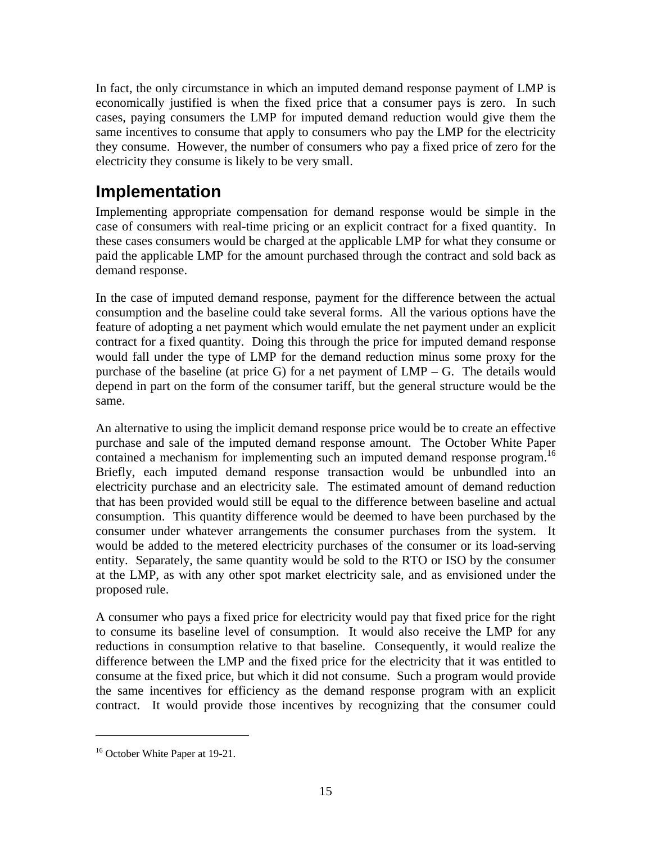In fact, the only circumstance in which an imputed demand response payment of LMP is economically justified is when the fixed price that a consumer pays is zero. In such cases, paying consumers the LMP for imputed demand reduction would give them the same incentives to consume that apply to consumers who pay the LMP for the electricity they consume. However, the number of consumers who pay a fixed price of zero for the electricity they consume is likely to be very small.

## **Implementation**

Implementing appropriate compensation for demand response would be simple in the case of consumers with real-time pricing or an explicit contract for a fixed quantity. In these cases consumers would be charged at the applicable LMP for what they consume or paid the applicable LMP for the amount purchased through the contract and sold back as demand response.

In the case of imputed demand response, payment for the difference between the actual consumption and the baseline could take several forms. All the various options have the feature of adopting a net payment which would emulate the net payment under an explicit contract for a fixed quantity. Doing this through the price for imputed demand response would fall under the type of LMP for the demand reduction minus some proxy for the purchase of the baseline (at price G) for a net payment of LMP – G. The details would depend in part on the form of the consumer tariff, but the general structure would be the same.

An alternative to using the implicit demand response price would be to create an effective purchase and sale of the imputed demand response amount. The October White Paper contained a mechanism for implementing such an imputed demand response program.<sup>16</sup> Briefly, each imputed demand response transaction would be unbundled into an electricity purchase and an electricity sale. The estimated amount of demand reduction that has been provided would still be equal to the difference between baseline and actual consumption. This quantity difference would be deemed to have been purchased by the consumer under whatever arrangements the consumer purchases from the system. It would be added to the metered electricity purchases of the consumer or its load-serving entity. Separately, the same quantity would be sold to the RTO or ISO by the consumer at the LMP, as with any other spot market electricity sale, and as envisioned under the proposed rule.

A consumer who pays a fixed price for electricity would pay that fixed price for the right to consume its baseline level of consumption. It would also receive the LMP for any reductions in consumption relative to that baseline. Consequently, it would realize the difference between the LMP and the fixed price for the electricity that it was entitled to consume at the fixed price, but which it did not consume. Such a program would provide the same incentives for efficiency as the demand response program with an explicit contract. It would provide those incentives by recognizing that the consumer could

<u>.</u>

<sup>&</sup>lt;sup>16</sup> October White Paper at 19-21.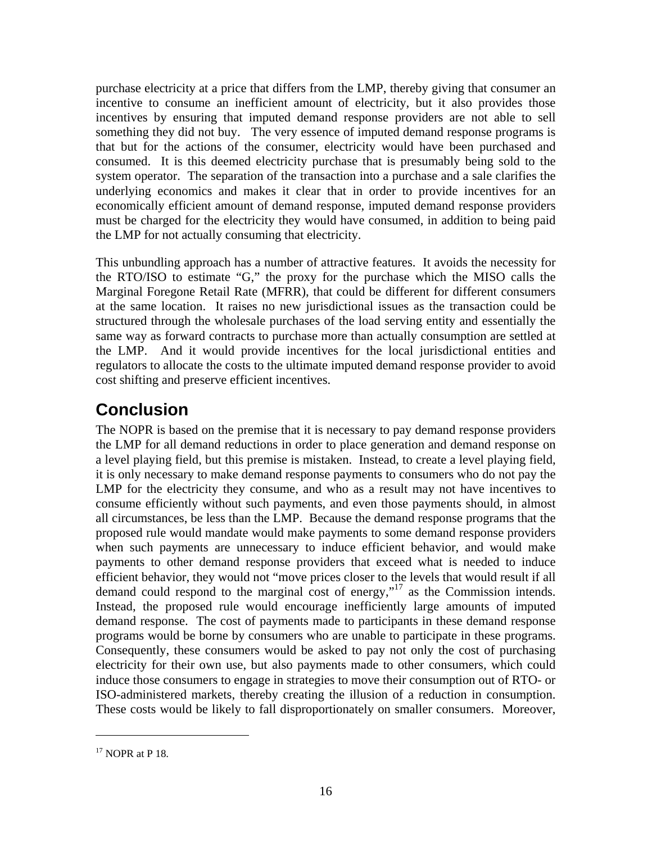purchase electricity at a price that differs from the LMP, thereby giving that consumer an incentive to consume an inefficient amount of electricity, but it also provides those incentives by ensuring that imputed demand response providers are not able to sell something they did not buy. The very essence of imputed demand response programs is that but for the actions of the consumer, electricity would have been purchased and consumed. It is this deemed electricity purchase that is presumably being sold to the system operator. The separation of the transaction into a purchase and a sale clarifies the underlying economics and makes it clear that in order to provide incentives for an economically efficient amount of demand response, imputed demand response providers must be charged for the electricity they would have consumed, in addition to being paid the LMP for not actually consuming that electricity.

This unbundling approach has a number of attractive features. It avoids the necessity for the RTO/ISO to estimate "G," the proxy for the purchase which the MISO calls the Marginal Foregone Retail Rate (MFRR), that could be different for different consumers at the same location. It raises no new jurisdictional issues as the transaction could be structured through the wholesale purchases of the load serving entity and essentially the same way as forward contracts to purchase more than actually consumption are settled at the LMP. And it would provide incentives for the local jurisdictional entities and regulators to allocate the costs to the ultimate imputed demand response provider to avoid cost shifting and preserve efficient incentives.

# **Conclusion**

The NOPR is based on the premise that it is necessary to pay demand response providers the LMP for all demand reductions in order to place generation and demand response on a level playing field, but this premise is mistaken. Instead, to create a level playing field, it is only necessary to make demand response payments to consumers who do not pay the LMP for the electricity they consume, and who as a result may not have incentives to consume efficiently without such payments, and even those payments should, in almost all circumstances, be less than the LMP. Because the demand response programs that the proposed rule would mandate would make payments to some demand response providers when such payments are unnecessary to induce efficient behavior, and would make payments to other demand response providers that exceed what is needed to induce efficient behavior, they would not "move prices closer to the levels that would result if all demand could respond to the marginal cost of energy,"17 as the Commission intends. Instead, the proposed rule would encourage inefficiently large amounts of imputed demand response. The cost of payments made to participants in these demand response programs would be borne by consumers who are unable to participate in these programs. Consequently, these consumers would be asked to pay not only the cost of purchasing electricity for their own use, but also payments made to other consumers, which could induce those consumers to engage in strategies to move their consumption out of RTO- or ISO-administered markets, thereby creating the illusion of a reduction in consumption. These costs would be likely to fall disproportionately on smaller consumers. Moreover,

 $17$  NOPR at P 18.